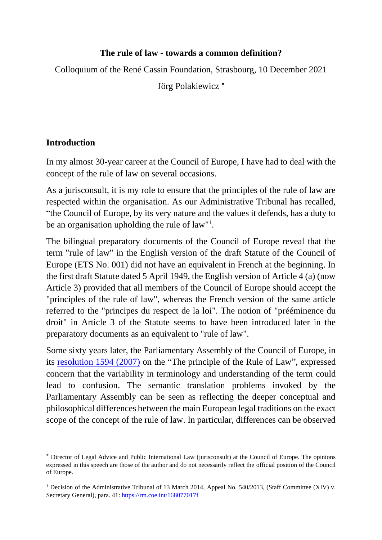### **The rule of law - towards a common definition?**

Colloquium of the René Cassin Foundation, Strasbourg, 10 December 2021

Jörg Polakiewicz<sup>\*</sup>

# **Introduction**

In my almost 30-year career at the Council of Europe, I have had to deal with the concept of the rule of law on several occasions.

As a jurisconsult, it is my role to ensure that the principles of the rule of law are respected within the organisation. As our Administrative Tribunal has recalled, "the Council of Europe, by its very nature and the values it defends, has a duty to be an organisation upholding the rule of law"<sup>1</sup>.

The bilingual preparatory documents of the Council of Europe reveal that the term "rule of law" in the English version of the draft Statute of the Council of Europe (ETS No. 001) did not have an equivalent in French at the beginning. In the first draft Statute dated 5 April 1949, the English version of Article 4 (a) (now Article 3) provided that all members of the Council of Europe should accept the "principles of the rule of law", whereas the French version of the same article referred to the "principes du respect de la loi". The notion of "prééminence du droit" in Article 3 of the Statute seems to have been introduced later in the preparatory documents as an equivalent to "rule of law".

Some sixty years later, the Parliamentary Assembly of the Council of Europe, in its [resolution 1594 \(2007\)](https://assembly.coe.int/nw/xml/XRef/Xref-XML2HTML-EN.asp?fileid=17613&lang=en) on the "The principle of the Rule of Law", expressed concern that the variability in terminology and understanding of the term could lead to confusion. The semantic translation problems invoked by the Parliamentary Assembly can be seen as reflecting the deeper conceptual and philosophical differences between the main European legal traditions on the exact scope of the concept of the rule of law. In particular, differences can be observed

Director of Legal Advice and Public International Law (jurisconsult) at the Council of Europe. The opinions expressed in this speech are those of the author and do not necessarily reflect the official position of the Council of Europe.

<sup>&</sup>lt;sup>1</sup> Decision of the Administrative Tribunal of 13 March 2014, Appeal No. 540/2013, (Staff Committee (XIV) v. Secretary General), para. 41: <https://rm.coe.int/168077017f>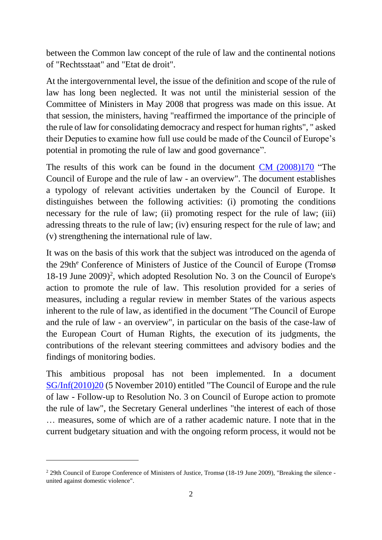between the Common law concept of the rule of law and the continental notions of "Rechtsstaat" and "Etat de droit".

At the intergovernmental level, the issue of the definition and scope of the rule of law has long been neglected. It was not until the ministerial session of the Committee of Ministers in May 2008 that progress was made on this issue. At that session, the ministers, having "reaffirmed the importance of the principle of the rule of law for consolidating democracy and respect for human rights", " asked their Deputies to examine how full use could be made of the Council of Europe's potential in promoting the rule of law and good governance".

The results of this work can be found in the document [CM \(2008\)170](https://search.coe.int/cm/Pages/result_details.aspx?ObjectId=09000016805d22bd) "The Council of Europe and the rule of law - an overview". The document establishes a typology of relevant activities undertaken by the Council of Europe. It distinguishes between the following activities: (i) promoting the conditions necessary for the rule of law; (ii) promoting respect for the rule of law; (iii) adressing threats to the rule of law; (iv) ensuring respect for the rule of law; and (v) strengthening the international rule of law.

It was on the basis of this work that the subject was introduced on the agenda of the 29th<sup>e</sup> Conference of Ministers of Justice of the Council of Europe (Tromsø 18-19 June 2009)<sup>2</sup>, which adopted Resolution No. 3 on the Council of Europe's action to promote the rule of law. This resolution provided for a series of measures, including a regular review in member States of the various aspects inherent to the rule of law, as identified in the document "The Council of Europe and the rule of law - an overview", in particular on the basis of the case-law of the European Court of Human Rights, the execution of its judgments, the contributions of the relevant steering committees and advisory bodies and the findings of monitoring bodies.

This ambitious proposal has not been implemented. In a document [SG/Inf\(2010\)20](https://search.coe.int/cm/Pages/result_details.aspx?ObjectId=09000016805ce0d5) (5 November 2010) entitled "The Council of Europe and the rule of law - Follow-up to Resolution No. 3 on Council of Europe action to promote the rule of law", the Secretary General underlines "the interest of each of those … measures, some of which are of a rather academic nature. I note that in the current budgetary situation and with the ongoing reform process, it would not be

<sup>2</sup> 29th Council of Europe Conference of Ministers of Justice, Tromsø (18-19 June 2009), "Breaking the silence united against domestic violence".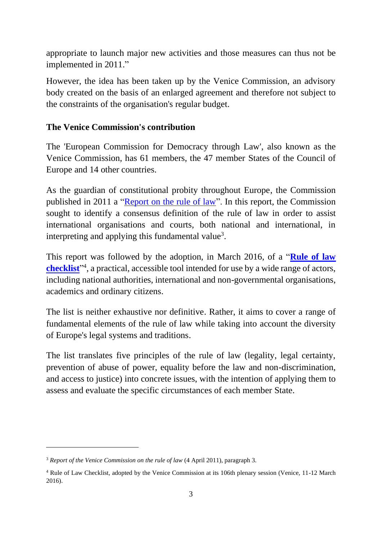appropriate to launch major new activities and those measures can thus not be implemented in 2011."

However, the idea has been taken up by the Venice Commission, an advisory body created on the basis of an enlarged agreement and therefore not subject to the constraints of the organisation's regular budget.

### **The Venice Commission's contribution**

The 'European Commission for Democracy through Law', also known as the Venice Commission, has 61 members, the 47 member States of the Council of Europe and 14 other countries.

As the guardian of constitutional probity throughout Europe, the Commission published in 2011 a ["Report on the rule of law"](https://www.venice.coe.int/webforms/documents/?pdf=CDL-AD(2011)003rev-e). In this report, the Commission sought to identify a consensus definition of the rule of law in order to assist international organisations and courts, both national and international, in interpreting and applying this fundamental value<sup>3</sup>.

This report was followed by the adoption, in March 2016, of a "**[Rule of law](https://www.venice.coe.int/webforms/documents/default.aspx?pdffile=CDL-AD(2016)007-e)  [checklist](https://www.venice.coe.int/webforms/documents/default.aspx?pdffile=CDL-AD(2016)007-e)**" 4 , a practical, accessible tool intended for use by a wide range of actors, including national authorities, international and non-governmental organisations, academics and ordinary citizens.

The list is neither exhaustive nor definitive. Rather, it aims to cover a range of fundamental elements of the rule of law while taking into account the diversity of Europe's legal systems and traditions.

The list translates five principles of the rule of law (legality, legal certainty, prevention of abuse of power, equality before the law and non-discrimination, and access to justice) into concrete issues, with the intention of applying them to assess and evaluate the specific circumstances of each member State.

<sup>&</sup>lt;sup>3</sup> *Report of the Venice Commission on the rule of law (4 April 2011), paragraph 3.* 

<sup>4</sup> Rule of Law Checklist, adopted by the Venice Commission at its 106th plenary session (Venice, 11-12 March 2016).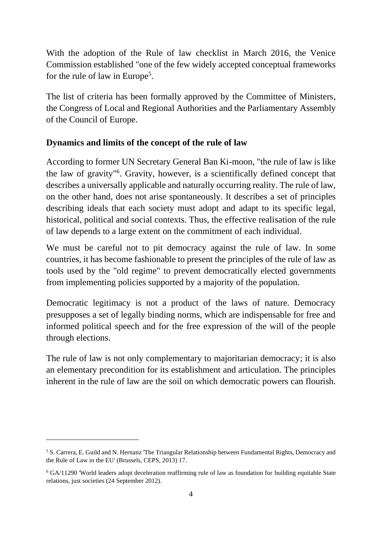With the adoption of the Rule of law checklist in March 2016, the Venice Commission established "one of the few widely accepted conceptual frameworks for the rule of law in Europe<sup>5</sup>.

The list of criteria has been formally approved by the Committee of Ministers, the Congress of Local and Regional Authorities and the Parliamentary Assembly of the Council of Europe.

#### **Dynamics and limits of the concept of the rule of law**

According to former UN Secretary General Ban Ki-moon, "the rule of law is like the law of gravity" 6 . Gravity, however, is a scientifically defined concept that describes a universally applicable and naturally occurring reality. The rule of law, on the other hand, does not arise spontaneously. It describes a set of principles describing ideals that each society must adopt and adapt to its specific legal, historical, political and social contexts. Thus, the effective realisation of the rule of law depends to a large extent on the commitment of each individual.

We must be careful not to pit democracy against the rule of law. In some countries, it has become fashionable to present the principles of the rule of law as tools used by the "old regime" to prevent democratically elected governments from implementing policies supported by a majority of the population.

Democratic legitimacy is not a product of the laws of nature. Democracy presupposes a set of legally binding norms, which are indispensable for free and informed political speech and for the free expression of the will of the people through elections.

The rule of law is not only complementary to majoritarian democracy; it is also an elementary precondition for its establishment and articulation. The principles inherent in the rule of law are the soil on which democratic powers can flourish.

<sup>5</sup> S. Carrera, E. Guild and N. Hernanz 'The Triangular Relationship between Fundamental Rights, Democracy and the Rule of Law in the EU' (Brussels, CEPS, 2013) 17.

<sup>6</sup> GA/11290 'World leaders adopt deceleration reaffirming rule of law as foundation for building equitable State relations, just societies (24 September 2012).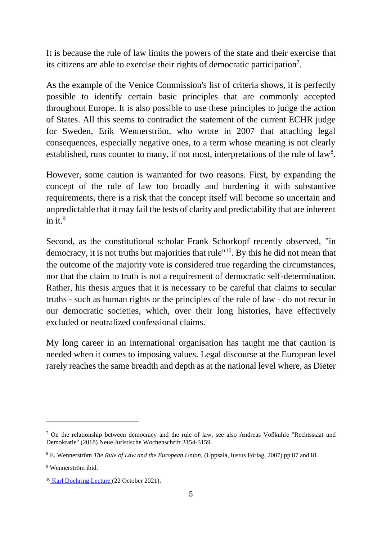It is because the rule of law limits the powers of the state and their exercise that its citizens are able to exercise their rights of democratic participation<sup>7</sup> .

As the example of the Venice Commission's list of criteria shows, it is perfectly possible to identify certain basic principles that are commonly accepted throughout Europe. It is also possible to use these principles to judge the action of States. All this seems to contradict the statement of the current ECHR judge for Sweden, Erik Wennerström, who wrote in 2007 that attaching legal consequences, especially negative ones, to a term whose meaning is not clearly established, runs counter to many, if not most, interpretations of the rule of  $law<sup>8</sup>$ .

However, some caution is warranted for two reasons. First, by expanding the concept of the rule of law too broadly and burdening it with substantive requirements, there is a risk that the concept itself will become so uncertain and unpredictable that it may fail the tests of clarity and predictability that are inherent in it. 9

Second, as the constitutional scholar Frank Schorkopf recently observed, "in democracy, it is not truths but majorities that rule"<sup>10</sup>. By this he did not mean that the outcome of the majority vote is considered true regarding the circumstances, nor that the claim to truth is not a requirement of democratic self-determination. Rather, his thesis argues that it is necessary to be careful that claims to secular truths - such as human rights or the principles of the rule of law - do not recur in our democratic societies, which, over their long histories, have effectively excluded or neutralized confessional claims.

My long career in an international organisation has taught me that caution is needed when it comes to imposing values. Legal discourse at the European level rarely reaches the same breadth and depth as at the national level where, as Dieter

<sup>7</sup> On the relationship between democracy and the rule of law, see also Andreas Voßkuhle "Rechtsstaat und Demokratie" (2018) Neue Juristische Wochenschrift 3154-3159.

<sup>8</sup> E. Wennerström *The Rule of Law and the European Union,* (Uppsala, Iustus Förlag, 2007) pp 87 and 81.

<sup>9</sup> Wennerström ibid.

<sup>10</sup> Karl [Doehring](https://www.mpil.de/apps/eventcalendar/data/pdf1/programm_2.doehringlecture_2021.pdf) Lecture (22 October 2021).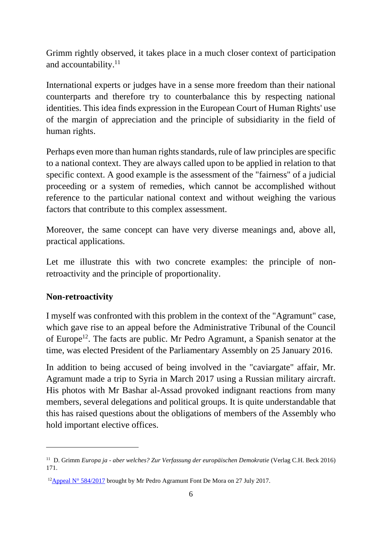Grimm rightly observed, it takes place in a much closer context of participation and accountability.<sup>11</sup>

International experts or judges have in a sense more freedom than their national counterparts and therefore try to counterbalance this by respecting national identities. This idea finds expression in the European Court of Human Rights' use of the margin of appreciation and the principle of subsidiarity in the field of human rights.

Perhaps even more than human rights standards, rule of law principles are specific to a national context. They are always called upon to be applied in relation to that specific context. A good example is the assessment of the "fairness" of a judicial proceeding or a system of remedies, which cannot be accomplished without reference to the particular national context and without weighing the various factors that contribute to this complex assessment.

Moreover, the same concept can have very diverse meanings and, above all, practical applications.

Let me illustrate this with two concrete examples: the principle of nonretroactivity and the principle of proportionality.

#### **Non-retroactivity**

I myself was confronted with this problem in the context of the "Agramunt" case, which gave rise to an appeal before the Administrative Tribunal of the Council of Europe<sup>12</sup>. The facts are public. Mr Pedro Agramunt, a Spanish senator at the time, was elected President of the Parliamentary Assembly on 25 January 2016.

In addition to being accused of being involved in the "caviargate" affair, Mr. Agramunt made a trip to Syria in March 2017 using a Russian military aircraft. His photos with Mr Bashar al-Assad provoked indignant reactions from many members, several delegations and political groups. It is quite understandable that this has raised questions about the obligations of members of the Assembly who hold important elective offices.

<sup>&</sup>lt;sup>11</sup> D. Grimm *Europa ja - aber welches? Zur Verfassung der europäischen Demokratie (Verlag C.H. Beck 2016)* 171.

<sup>&</sup>lt;sup>12</sup>Appeal [N° 584/2017](https://rm.coe.int/168076ff85) brought by Mr Pedro Agramunt Font De Mora on 27 July 2017.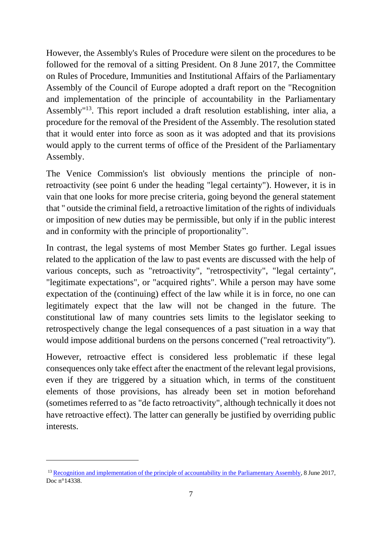However, the Assembly's Rules of Procedure were silent on the procedures to be followed for the removal of a sitting President. On 8 June 2017, the Committee on Rules of Procedure, Immunities and Institutional Affairs of the Parliamentary Assembly of the Council of Europe adopted a draft report on the "Recognition and implementation of the principle of accountability in the Parliamentary Assembly"<sup>13</sup>. This report included a draft resolution establishing, inter alia, a procedure for the removal of the President of the Assembly. The resolution stated that it would enter into force as soon as it was adopted and that its provisions would apply to the current terms of office of the President of the Parliamentary Assembly.

The Venice Commission's list obviously mentions the principle of nonretroactivity (see point 6 under the heading "legal certainty"). However, it is in vain that one looks for more precise criteria, going beyond the general statement that " outside the criminal field, a retroactive limitation of the rights of individuals or imposition of new duties may be permissible, but only if in the public interest and in conformity with the principle of proportionality".

In contrast, the legal systems of most Member States go further. Legal issues related to the application of the law to past events are discussed with the help of various concepts, such as "retroactivity", "retrospectivity", "legal certainty", "legitimate expectations", or "acquired rights". While a person may have some expectation of the (continuing) effect of the law while it is in force, no one can legitimately expect that the law will not be changed in the future. The constitutional law of many countries sets limits to the legislator seeking to retrospectively change the legal consequences of a past situation in a way that would impose additional burdens on the persons concerned ("real retroactivity").

However, retroactive effect is considered less problematic if these legal consequences only take effect after the enactment of the relevant legal provisions, even if they are triggered by a situation which, in terms of the constituent elements of those provisions, has already been set in motion beforehand (sometimes referred to as "de facto retroactivity", although technically it does not have retroactive effect). The latter can generally be justified by overriding public interests.

<sup>&</sup>lt;sup>13</sup> [Recognition and implementation of the principle of accountability in the Parliamentary Assembly,](https://pace.coe.int/files/23781/pdf) 8 June 2017, Doc n°14338.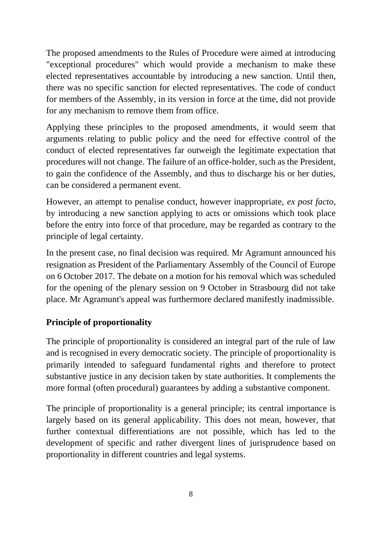The proposed amendments to the Rules of Procedure were aimed at introducing "exceptional procedures" which would provide a mechanism to make these elected representatives accountable by introducing a new sanction. Until then, there was no specific sanction for elected representatives. The code of conduct for members of the Assembly, in its version in force at the time, did not provide for any mechanism to remove them from office.

Applying these principles to the proposed amendments, it would seem that arguments relating to public policy and the need for effective control of the conduct of elected representatives far outweigh the legitimate expectation that procedures will not change. The failure of an office-holder, such as the President, to gain the confidence of the Assembly, and thus to discharge his or her duties, can be considered a permanent event.

However, an attempt to penalise conduct, however inappropriate, *ex post facto*, by introducing a new sanction applying to acts or omissions which took place before the entry into force of that procedure, may be regarded as contrary to the principle of legal certainty.

In the present case, no final decision was required. Mr Agramunt announced his resignation as President of the Parliamentary Assembly of the Council of Europe on 6 October 2017. The debate on a motion for his removal which was scheduled for the opening of the plenary session on 9 October in Strasbourg did not take place. Mr Agramunt's appeal was furthermore declared manifestly inadmissible.

# **Principle of proportionality**

The principle of proportionality is considered an integral part of the rule of law and is recognised in every democratic society. The principle of proportionality is primarily intended to safeguard fundamental rights and therefore to protect substantive justice in any decision taken by state authorities. It complements the more formal (often procedural) guarantees by adding a substantive component.

The principle of proportionality is a general principle; its central importance is largely based on its general applicability. This does not mean, however, that further contextual differentiations are not possible, which has led to the development of specific and rather divergent lines of jurisprudence based on proportionality in different countries and legal systems.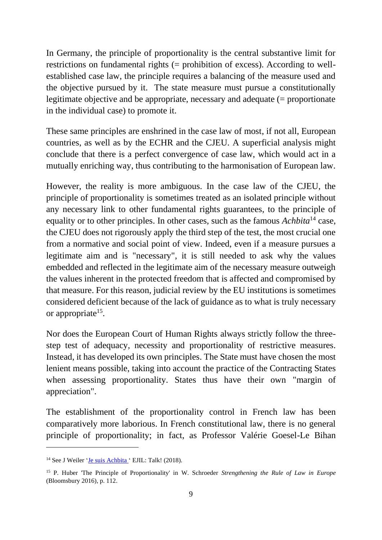In Germany, the principle of proportionality is the central substantive limit for restrictions on fundamental rights (= prohibition of excess). According to wellestablished case law, the principle requires a balancing of the measure used and the objective pursued by it. The state measure must pursue a constitutionally legitimate objective and be appropriate, necessary and adequate (= proportionate in the individual case) to promote it.

These same principles are enshrined in the case law of most, if not all, European countries, as well as by the ECHR and the CJEU. A superficial analysis might conclude that there is a perfect convergence of case law, which would act in a mutually enriching way, thus contributing to the harmonisation of European law.

However, the reality is more ambiguous. In the case law of the CJEU, the principle of proportionality is sometimes treated as an isolated principle without any necessary link to other fundamental rights guarantees, to the principle of equality or to other principles. In other cases, such as the famous *Achbita*<sup>14</sup> case, the CJEU does not rigorously apply the third step of the test, the most crucial one from a normative and social point of view. Indeed, even if a measure pursues a legitimate aim and is "necessary", it is still needed to ask why the values embedded and reflected in the legitimate aim of the necessary measure outweigh the values inherent in the protected freedom that is affected and compromised by that measure. For this reason, judicial review by the EU institutions is sometimes considered deficient because of the lack of guidance as to what is truly necessary or appropriate<sup>15</sup>.

Nor does the European Court of Human Rights always strictly follow the threestep test of adequacy, necessity and proportionality of restrictive measures. Instead, it has developed its own principles. The State must have chosen the most lenient means possible, taking into account the practice of the Contracting States when assessing proportionality. States thus have their own "margin of appreciation".

The establishment of the proportionality control in French law has been comparatively more laborious. In French constitutional law, there is no general principle of proportionality; in fact, as Professor Valérie Goesel-Le Bihan

<sup>14</sup> See J Weiler ['Je suis Achbita](https://www.ejiltalk.org/je-suis-achbita/) ' EJIL: Talk! (2018).

<sup>15</sup> P. Huber 'The Principle of Proportionality' in W. Schroeder *Strengthening the Rule of Law in Europe*  (Bloomsbury 2016), p. 112.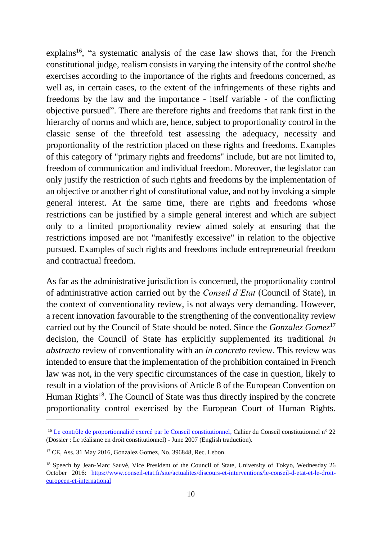explains<sup>16</sup>, "a systematic analysis of the case law shows that, for the French constitutional judge, realism consists in varying the intensity of the control she/he exercises according to the importance of the rights and freedoms concerned, as well as, in certain cases, to the extent of the infringements of these rights and freedoms by the law and the importance - itself variable - of the conflicting objective pursued". There are therefore rights and freedoms that rank first in the hierarchy of norms and which are, hence, subject to proportionality control in the classic sense of the threefold test assessing the adequacy, necessity and proportionality of the restriction placed on these rights and freedoms. Examples of this category of "primary rights and freedoms" include, but are not limited to, freedom of communication and individual freedom. Moreover, the legislator can only justify the restriction of such rights and freedoms by the implementation of an objective or another right of constitutional value, and not by invoking a simple general interest. At the same time, there are rights and freedoms whose restrictions can be justified by a simple general interest and which are subject only to a limited proportionality review aimed solely at ensuring that the restrictions imposed are not "manifestly excessive" in relation to the objective pursued. Examples of such rights and freedoms include entrepreneurial freedom and contractual freedom.

As far as the administrative jurisdiction is concerned, the proportionality control of administrative action carried out by the *Conseil d'Etat* (Council of State), in the context of conventionality review, is not always very demanding. However, a recent innovation favourable to the strengthening of the conventionality review carried out by the Council of State should be noted. Since the *Gonzalez Gomez*<sup>17</sup> decision, the Council of State has explicitly supplemented its traditional *in abstracto* review of conventionality with an *in concreto* review. This review was intended to ensure that the implementation of the prohibition contained in French law was not, in the very specific circumstances of the case in question, likely to result in a violation of the provisions of Article 8 of the European Convention on Human Rights<sup>18</sup>. The Council of State was thus directly inspired by the concrete proportionality control exercised by the European Court of Human Rights.

<sup>&</sup>lt;sup>16</sup> [Le contrôle de proportionnalité exercé par le Conseil constitutionnel,](https://www.conseil-constitutionnel.fr/nouveaux-cahiers-du-conseil-constitutionnel/le-controle-de-proportionnalite-exerce-par-le-conseil-constitutionnel) Cahier du Conseil constitutionnel n° 22 (Dossier : Le réalisme en droit constitutionnel) - June 2007 (English traduction).

<sup>17</sup> CE, Ass. 31 May 2016, Gonzalez Gomez, No. 396848, Rec. Lebon.

<sup>&</sup>lt;sup>18</sup> Speech by Jean-Marc Sauvé, Vice President of the Council of State, University of Tokyo, Wednesday 26 October 2016: [https://www.conseil-etat.fr/site/actualites/discours-et-interventions/le-conseil-d-etat-et-le-droit](https://www.conseil-etat.fr/site/actualites/discours-et-interventions/le-conseil-d-etat-et-le-droit-europeen-et-international)[europeen-et-international](https://www.conseil-etat.fr/site/actualites/discours-et-interventions/le-conseil-d-etat-et-le-droit-europeen-et-international)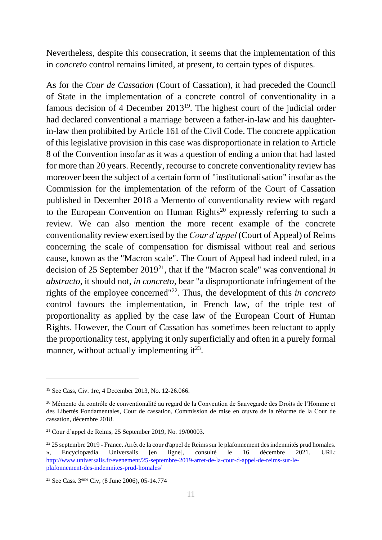Nevertheless, despite this consecration, it seems that the implementation of this in *concreto* control remains limited, at present, to certain types of disputes.

As for the *Cour de Cassation* (Court of Cassation), it had preceded the Council of State in the implementation of a concrete control of conventionality in a famous decision of 4 December  $2013^{19}$ . The highest court of the judicial order had declared conventional a marriage between a father-in-law and his daughterin-law then prohibited by Article 161 of the Civil Code. The concrete application of this legislative provision in this case was disproportionate in relation to Article 8 of the Convention insofar as it was a question of ending a union that had lasted for more than 20 years. Recently, recourse to concrete conventionality review has moreover been the subject of a certain form of "institutionalisation" insofar as the Commission for the implementation of the reform of the Court of Cassation published in December 2018 a Memento of conventionality review with regard to the European Convention on Human Rights<sup>20</sup> expressly referring to such a review. We can also mention the more recent example of the concrete conventionality review exercised by the *Cour d'appel* (Court of Appeal) of Reims concerning the scale of compensation for dismissal without real and serious cause, known as the "Macron scale". The Court of Appeal had indeed ruled, in a decision of 25 September 2019<sup>21</sup>, that if the "Macron scale" was conventional *in abstracto*, it should not, *in concreto,* bear "a disproportionate infringement of the rights of the employee concerned"<sup>22</sup> . Thus, the development of this *in concreto*  control favours the implementation, in French law, of the triple test of proportionality as applied by the case law of the European Court of Human Rights. However, the Court of Cassation has sometimes been reluctant to apply the proportionality test, applying it only superficially and often in a purely formal manner, without actually implementing  $it^{23}$ .

<sup>19</sup> See Cass, Civ. 1re, 4 December 2013, No. 12-26.066.

<sup>&</sup>lt;sup>20</sup> Mémento du contrôle de conventionalité au regard de la Convention de Sauvegarde des Droits de l'Homme et des Libertés Fondamentales, Cour de cassation, Commission de mise en œuvre de la réforme de la Cour de cassation, décembre 2018.

 $21$  Cour d'appel de Reims, 25 September 2019, No. 19/00003.

 $22$  25 septembre 2019 - France. Arrêt de la cour d'appel de Reims sur le plafonnement des indemnités prud'homales. », Encyclopædia Universalis [en ligne], consulté le 16 décembre 2021. URL: [http://www.universalis.fr/evenement/25-septembre-2019-arret-de-la-cour-d-appel-de-reims-sur-le](http://www.universalis.fr/evenement/25-septembre-2019-arret-de-la-cour-d-appel-de-reims-sur-le-plafonnement-des-indemnites-prud-homales/)[plafonnement-des-indemnites-prud-homales/](http://www.universalis.fr/evenement/25-septembre-2019-arret-de-la-cour-d-appel-de-reims-sur-le-plafonnement-des-indemnites-prud-homales/)

<sup>23</sup> See Cass. 3ème Civ, (8 June 2006), 05-14.774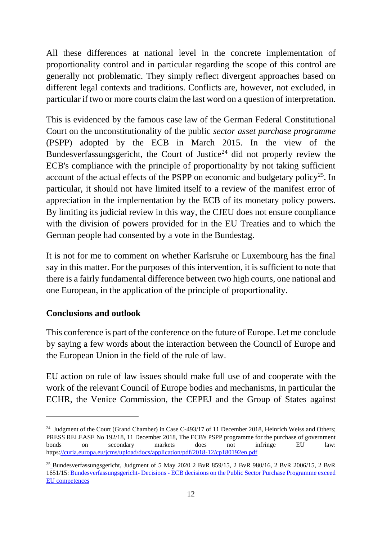All these differences at national level in the concrete implementation of proportionality control and in particular regarding the scope of this control are generally not problematic. They simply reflect divergent approaches based on different legal contexts and traditions. Conflicts are, however, not excluded, in particular if two or more courts claim the last word on a question of interpretation.

This is evidenced by the famous case law of the German Federal Constitutional Court on the unconstitutionality of the public *sector asset purchase programme*  (PSPP) adopted by the ECB in March 2015. In the view of the Bundesverfassungsgericht, the Court of Justice<sup>24</sup> did not properly review the ECB's compliance with the principle of proportionality by not taking sufficient account of the actual effects of the PSPP on economic and budgetary policy<sup>25</sup>. In particular, it should not have limited itself to a review of the manifest error of appreciation in the implementation by the ECB of its monetary policy powers. By limiting its judicial review in this way, the CJEU does not ensure compliance with the division of powers provided for in the EU Treaties and to which the German people had consented by a vote in the Bundestag.

It is not for me to comment on whether Karlsruhe or Luxembourg has the final say in this matter. For the purposes of this intervention, it is sufficient to note that there is a fairly fundamental difference between two high courts, one national and one European, in the application of the principle of proportionality.

#### **Conclusions and outlook**

This conference is part of the conference on the future of Europe. Let me conclude by saying a few words about the interaction between the Council of Europe and the European Union in the field of the rule of law.

EU action on rule of law issues should make full use of and cooperate with the work of the relevant Council of Europe bodies and mechanisms, in particular the ECHR, the Venice Commission, the CEPEJ and the Group of States against

<sup>&</sup>lt;sup>24</sup> Judgment of the Court (Grand Chamber) in Case C-493/17 of 11 December 2018, Heinrich Weiss and Others; PRESS RELEASE No 192/18, 11 December 2018, The ECB's PSPP programme for the purchase of government bonds on secondary markets does not infringe EU law: https[://curia.europa.eu/jcms/upload/docs/application/pdf/2018-12/cp180192en.pdf](https://curia.europa.eu/jcms/upload/docs/application/pdf/2018-12/cp180192en.pdf)

<sup>&</sup>lt;sup>25</sup> [B](https://www.bundesverfassungsgericht.de/SharedDocs/Entscheidungen/EN/2020/05/rs20200505_2bvr085915en.html;jsessionid=94E78E2AD5AD9ED2331597B6FBFEB56A.2_cid354)undesverfassungsgericht, Judgment of 5 May 2020 2 BvR 859/15, 2 BvR 980/16, 2 BvR 2006/15, 2 BvR 1651/15: Bundesverfassungsgericht- Decisions - [ECB decisions on the Public Sector Purchase Programme exceed](https://www.bundesverfassungsgericht.de/SharedDocs/Entscheidungen/EN/2020/05/rs20200505_2bvr085915en.html;jsessionid=94E78E2AD5AD9ED2331597B6FBFEB56A.2_cid354)  [EU competences](https://www.bundesverfassungsgericht.de/SharedDocs/Entscheidungen/EN/2020/05/rs20200505_2bvr085915en.html;jsessionid=94E78E2AD5AD9ED2331597B6FBFEB56A.2_cid354)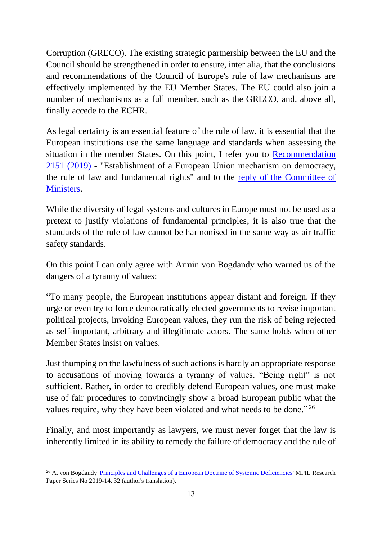Corruption (GRECO). The existing strategic partnership between the EU and the Council should be strengthened in order to ensure, inter alia, that the conclusions and recommendations of the Council of Europe's rule of law mechanisms are effectively implemented by the EU Member States. The EU could also join a number of mechanisms as a full member, such as the GRECO, and, above all, finally accede to the ECHR.

As legal certainty is an essential feature of the rule of law, it is essential that the European institutions use the same language and standards when assessing the situation in the member States. On this point, I refer you to [Recommendation](https://pace.coe.int/en/files/27613/html)  [2151 \(2019\)](https://pace.coe.int/en/files/27613/html) - "Establishment of a European Union mechanism on democracy, the rule of law and fundamental rights" and to the [reply of the Committee of](https://pace.coe.int/en/files/28323/html)  [Ministers.](https://pace.coe.int/en/files/28323/html)

While the diversity of legal systems and cultures in Europe must not be used as a pretext to justify violations of fundamental principles, it is also true that the standards of the rule of law cannot be harmonised in the same way as air traffic safety standards.

On this point I can only agree with Armin von Bogdandy who warned us of the dangers of a tyranny of values:

"To many people, the European institutions appear distant and foreign. If they urge or even try to force democratically elected governments to revise important political projects, invoking European values, they run the risk of being rejected as self-important, arbitrary and illegitimate actors. The same holds when other Member States insist on values.

Just thumping on the lawfulness of such actions is hardly an appropriate response to accusations of moving towards a tyranny of values. "Being right" is not sufficient. Rather, in order to credibly defend European values, one must make use of fair procedures to convincingly show a broad European public what the values require, why they have been violated and what needs to be done."<sup>26</sup>

Finally, and most importantly as lawyers, we must never forget that the law is inherently limited in its ability to remedy the failure of democracy and the rule of

<sup>&</sup>lt;sup>26</sup> [A](https://papers.ssrn.com/sol3/papers.cfm?abstract_id=3431303). von Bogdandy ['Principles and Challenges of a European Doctrine of Systemic Deficiencies'](https://papers.ssrn.com/sol3/papers.cfm?abstract_id=3431303) MPIL Research Paper Series No 2019-14, 32 (author's translation).